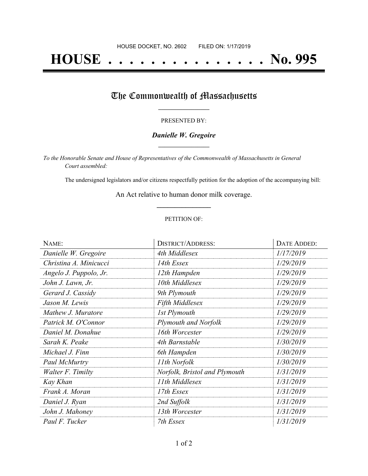# **HOUSE . . . . . . . . . . . . . . . No. 995**

# The Commonwealth of Massachusetts

#### PRESENTED BY:

## *Danielle W. Gregoire* **\_\_\_\_\_\_\_\_\_\_\_\_\_\_\_\_\_**

*To the Honorable Senate and House of Representatives of the Commonwealth of Massachusetts in General Court assembled:*

The undersigned legislators and/or citizens respectfully petition for the adoption of the accompanying bill:

An Act relative to human donor milk coverage. **\_\_\_\_\_\_\_\_\_\_\_\_\_\_\_**

### PETITION OF:

| NAME:                  | <b>DISTRICT/ADDRESS:</b>      | DATE ADDED: |
|------------------------|-------------------------------|-------------|
| Danielle W. Gregoire   | 4th Middlesex                 | 1/17/2019   |
| Christina A. Minicucci | 14th Essex                    | 1/29/2019   |
| Angelo J. Puppolo, Jr. | 12th Hampden                  | 1/29/2019   |
| John J. Lawn, Jr.      | 10th Middlesex                | 1/29/2019   |
| Gerard J. Cassidy      | 9th Plymouth                  | 1/29/2019   |
| Jason M. Lewis         | <b>Fifth Middlesex</b>        | 1/29/2019   |
| Mathew J. Muratore     | 1st Plymouth                  | 1/29/2019   |
| Patrick M. O'Connor    | <b>Plymouth and Norfolk</b>   | 1/29/2019   |
| Daniel M. Donahue      | 16th Worcester                | 1/29/2019   |
| Sarah K. Peake         | 4th Barnstable                | 1/30/2019   |
| Michael J. Finn        | 6th Hampden                   | 1/30/2019   |
| Paul McMurtry          | 11th Norfolk                  | 1/30/2019   |
| Walter F. Timilty      | Norfolk, Bristol and Plymouth | 1/31/2019   |
| Kay Khan               | 11th Middlesex                | 1/31/2019   |
| Frank A. Moran         | 17th Essex                    | 1/31/2019   |
| Daniel J. Ryan         | 2nd Suffolk                   | 1/31/2019   |
| John J. Mahoney        | 13th Worcester                | 1/31/2019   |
| Paul F. Tucker         | 7th Essex                     | 1/31/2019   |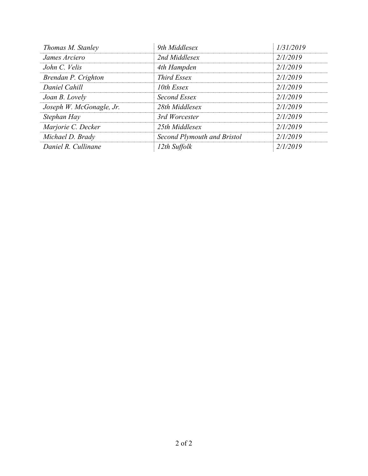| Thomas M. Stanley        | 9th Middlesex               | 1/31/2019 |
|--------------------------|-----------------------------|-----------|
| James Arciero            | 2nd Middlesex               | 2/1/2019  |
| John C. Velis            | 4th Hampden                 | 2/1/2019  |
| Brendan P. Crighton      | Third Essex                 | 2/1/2019  |
| Daniel Cahill            | 10th Essex                  | 2/1/2019  |
| Joan B. Lovely           | Second Essex                | 2/1/2019  |
| Joseph W. McGonagle, Jr. | 28th Middlesex              | 2/1/2019  |
| Stephan Hay              | 3rd Worcester               | 2/1/2019  |
| Marjorie C. Decker       | 25th Middlesex              | 2/1/2019  |
| Michael D. Brady         | Second Plymouth and Bristol | 2/1/2019  |
| Daniel R. Cullinane      | 12th Suffolk                | 2/1/2019  |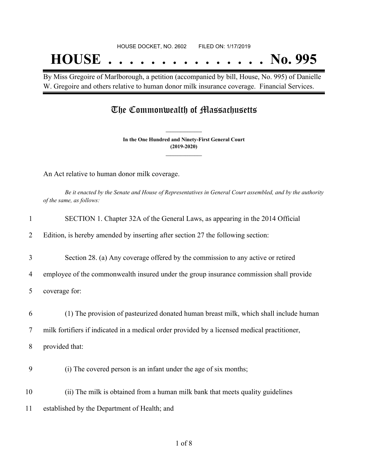By Miss Gregoire of Marlborough, a petition (accompanied by bill, House, No. 995) of Danielle W. Gregoire and others relative to human donor milk insurance coverage. Financial Services.

# The Commonwealth of Massachusetts

**In the One Hundred and Ninety-First General Court (2019-2020) \_\_\_\_\_\_\_\_\_\_\_\_\_\_\_**

**\_\_\_\_\_\_\_\_\_\_\_\_\_\_\_**

An Act relative to human donor milk coverage.

Be it enacted by the Senate and House of Representatives in General Court assembled, and by the authority *of the same, as follows:*

| 1  | SECTION 1. Chapter 32A of the General Laws, as appearing in the 2014 Official                |
|----|----------------------------------------------------------------------------------------------|
| 2  | Edition, is hereby amended by inserting after section 27 the following section:              |
| 3  | Section 28. (a) Any coverage offered by the commission to any active or retired              |
| 4  | employee of the commonwealth insured under the group insurance commission shall provide      |
| 5  | coverage for:                                                                                |
| 6  | (1) The provision of pasteurized donated human breast milk, which shall include human        |
| 7  | milk fortifiers if indicated in a medical order provided by a licensed medical practitioner, |
| 8  | provided that:                                                                               |
| 9  | (i) The covered person is an infant under the age of six months;                             |
| 10 | (ii) The milk is obtained from a human milk bank that meets quality guidelines               |
| 11 | established by the Department of Health; and                                                 |
|    |                                                                                              |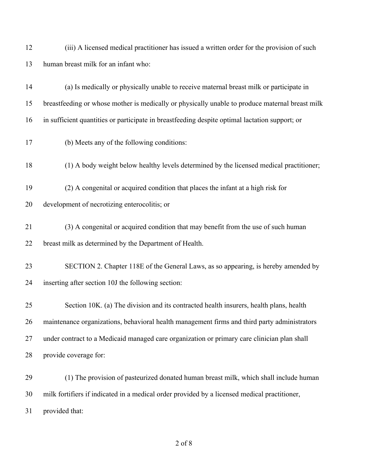| 12 | (iii) A licensed medical practitioner has issued a written order for the provision of such      |
|----|-------------------------------------------------------------------------------------------------|
| 13 | human breast milk for an infant who:                                                            |
| 14 | (a) Is medically or physically unable to receive maternal breast milk or participate in         |
| 15 | breastfeeding or whose mother is medically or physically unable to produce maternal breast milk |
| 16 | in sufficient quantities or participate in breastfeeding despite optimal lactation support; or  |
| 17 | (b) Meets any of the following conditions:                                                      |
| 18 | (1) A body weight below healthy levels determined by the licensed medical practitioner;         |
| 19 | (2) A congenital or acquired condition that places the infant at a high risk for                |
| 20 | development of necrotizing enterocolitis; or                                                    |
| 21 | (3) A congenital or acquired condition that may benefit from the use of such human              |
| 22 | breast milk as determined by the Department of Health.                                          |
| 23 | SECTION 2. Chapter 118E of the General Laws, as so appearing, is hereby amended by              |
| 24 | inserting after section 10J the following section:                                              |
| 25 | Section 10K. (a) The division and its contracted health insurers, health plans, health          |
| 26 | maintenance organizations, behavioral health management firms and third party administrators    |
| 27 | under contract to a Medicaid managed care organization or primary care clinician plan shall     |
| 28 | provide coverage for:                                                                           |
| 29 | (1) The provision of pasteurized donated human breast milk, which shall include human           |
| 30 | milk fortifiers if indicated in a medical order provided by a licensed medical practitioner,    |

provided that: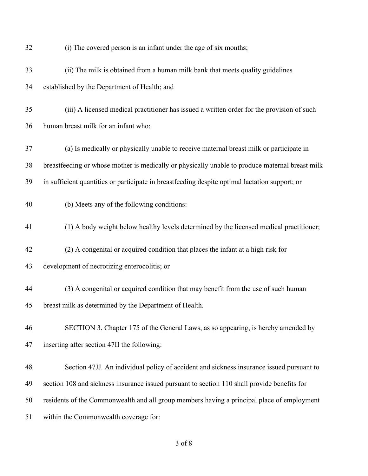| 32 | (i) The covered person is an infant under the age of six months;                                |
|----|-------------------------------------------------------------------------------------------------|
| 33 | (ii) The milk is obtained from a human milk bank that meets quality guidelines                  |
| 34 | established by the Department of Health; and                                                    |
| 35 | (iii) A licensed medical practitioner has issued a written order for the provision of such      |
| 36 | human breast milk for an infant who:                                                            |
| 37 | (a) Is medically or physically unable to receive maternal breast milk or participate in         |
| 38 | breastfeeding or whose mother is medically or physically unable to produce maternal breast milk |
| 39 | in sufficient quantities or participate in breastfeeding despite optimal lactation support; or  |
| 40 | (b) Meets any of the following conditions:                                                      |
| 41 | (1) A body weight below healthy levels determined by the licensed medical practitioner;         |
| 42 | (2) A congenital or acquired condition that places the infant at a high risk for                |
| 43 | development of necrotizing enterocolitis; or                                                    |
| 44 | (3) A congenital or acquired condition that may benefit from the use of such human              |
| 45 | breast milk as determined by the Department of Health.                                          |
| 46 | SECTION 3. Chapter 175 of the General Laws, as so appearing, is hereby amended by               |
| 47 | inserting after section 47II the following:                                                     |
| 48 | Section 47JJ. An individual policy of accident and sickness insurance issued pursuant to        |
| 49 | section 108 and sickness insurance issued pursuant to section 110 shall provide benefits for    |
| 50 | residents of the Commonwealth and all group members having a principal place of employment      |
| 51 | within the Commonwealth coverage for:                                                           |
|    |                                                                                                 |

# of 8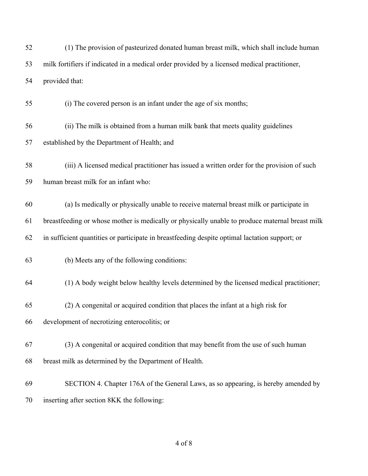| 52 | (1) The provision of pasteurized donated human breast milk, which shall include human           |
|----|-------------------------------------------------------------------------------------------------|
| 53 | milk fortifiers if indicated in a medical order provided by a licensed medical practitioner,    |
| 54 | provided that:                                                                                  |
| 55 | (i) The covered person is an infant under the age of six months;                                |
| 56 | (ii) The milk is obtained from a human milk bank that meets quality guidelines                  |
| 57 | established by the Department of Health; and                                                    |
| 58 | (iii) A licensed medical practitioner has issued a written order for the provision of such      |
| 59 | human breast milk for an infant who:                                                            |
| 60 | (a) Is medically or physically unable to receive maternal breast milk or participate in         |
| 61 | breastfeeding or whose mother is medically or physically unable to produce maternal breast milk |
| 62 | in sufficient quantities or participate in breastfeeding despite optimal lactation support; or  |
| 63 | (b) Meets any of the following conditions:                                                      |
| 64 | (1) A body weight below healthy levels determined by the licensed medical practitioner;         |
| 65 | (2) A congenital or acquired condition that places the infant at a high risk for                |
| 66 | development of necrotizing enterocolitis; or                                                    |
| 67 | (3) A congenital or acquired condition that may benefit from the use of such human              |
| 68 | breast milk as determined by the Department of Health.                                          |
| 69 | SECTION 4. Chapter 176A of the General Laws, as so appearing, is hereby amended by              |
| 70 | inserting after section 8KK the following:                                                      |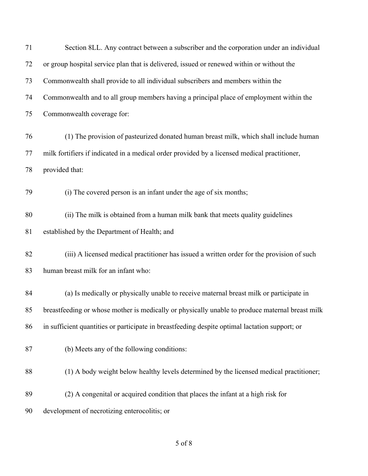| 71 | Section 8LL. Any contract between a subscriber and the corporation under an individual          |
|----|-------------------------------------------------------------------------------------------------|
| 72 | or group hospital service plan that is delivered, issued or renewed within or without the       |
| 73 | Commonwealth shall provide to all individual subscribers and members within the                 |
| 74 | Commonwealth and to all group members having a principal place of employment within the         |
| 75 | Commonwealth coverage for:                                                                      |
| 76 | (1) The provision of pasteurized donated human breast milk, which shall include human           |
| 77 | milk fortifiers if indicated in a medical order provided by a licensed medical practitioner,    |
| 78 | provided that:                                                                                  |
| 79 | (i) The covered person is an infant under the age of six months;                                |
| 80 | (ii) The milk is obtained from a human milk bank that meets quality guidelines                  |
| 81 | established by the Department of Health; and                                                    |
| 82 | (iii) A licensed medical practitioner has issued a written order for the provision of such      |
| 83 | human breast milk for an infant who:                                                            |
| 84 | (a) Is medically or physically unable to receive maternal breast milk or participate in         |
| 85 | breastfeeding or whose mother is medically or physically unable to produce maternal breast milk |
| 86 | in sufficient quantities or participate in breastfeeding despite optimal lactation support; or  |
| 87 | (b) Meets any of the following conditions:                                                      |
| 88 | (1) A body weight below healthy levels determined by the licensed medical practitioner;         |
| 89 | (2) A congenital or acquired condition that places the infant at a high risk for                |
| 90 | development of necrotizing enterocolitis; or                                                    |

of 8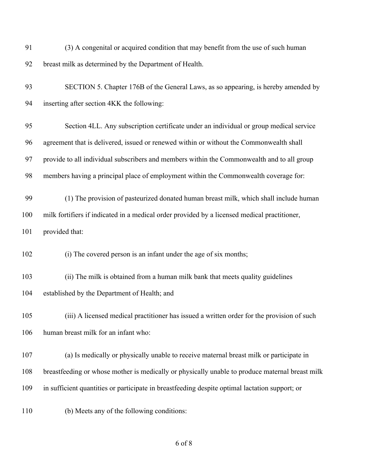| 91  | (3) A congenital or acquired condition that may benefit from the use of such human              |
|-----|-------------------------------------------------------------------------------------------------|
| 92  | breast milk as determined by the Department of Health.                                          |
| 93  | SECTION 5. Chapter 176B of the General Laws, as so appearing, is hereby amended by              |
| 94  | inserting after section 4KK the following:                                                      |
| 95  | Section 4LL. Any subscription certificate under an individual or group medical service          |
| 96  | agreement that is delivered, issued or renewed within or without the Commonwealth shall         |
| 97  | provide to all individual subscribers and members within the Commonwealth and to all group      |
| 98  | members having a principal place of employment within the Commonwealth coverage for:            |
| 99  | (1) The provision of pasteurized donated human breast milk, which shall include human           |
| 100 | milk fortifiers if indicated in a medical order provided by a licensed medical practitioner,    |
| 101 | provided that:                                                                                  |
| 102 | (i) The covered person is an infant under the age of six months;                                |
| 103 | (ii) The milk is obtained from a human milk bank that meets quality guidelines                  |
| 104 | established by the Department of Health; and                                                    |
| 105 | (iii) A licensed medical practitioner has issued a written order for the provision of such      |
| 106 | human breast milk for an infant who:                                                            |
| 107 | (a) Is medically or physically unable to receive maternal breast milk or participate in         |
| 108 | breastfeeding or whose mother is medically or physically unable to produce maternal breast milk |
| 109 | in sufficient quantities or participate in breastfeeding despite optimal lactation support; or  |
| 110 | (b) Meets any of the following conditions:                                                      |

```
6 of 8
```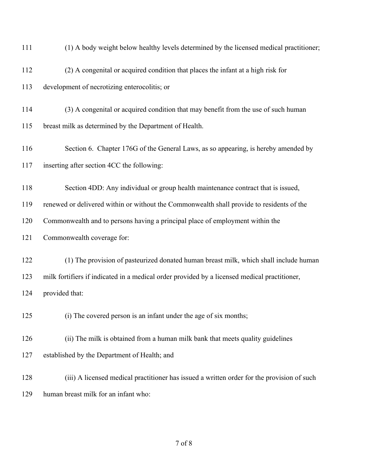| 111 | (1) A body weight below healthy levels determined by the licensed medical practitioner;      |
|-----|----------------------------------------------------------------------------------------------|
| 112 | (2) A congenital or acquired condition that places the infant at a high risk for             |
| 113 | development of necrotizing enterocolitis; or                                                 |
| 114 | (3) A congenital or acquired condition that may benefit from the use of such human           |
| 115 | breast milk as determined by the Department of Health.                                       |
| 116 | Section 6. Chapter 176G of the General Laws, as so appearing, is hereby amended by           |
| 117 | inserting after section 4CC the following:                                                   |
| 118 | Section 4DD: Any individual or group health maintenance contract that is issued,             |
| 119 | renewed or delivered within or without the Commonwealth shall provide to residents of the    |
| 120 | Commonwealth and to persons having a principal place of employment within the                |
| 121 | Commonwealth coverage for:                                                                   |
| 122 | (1) The provision of pasteurized donated human breast milk, which shall include human        |
| 123 | milk fortifiers if indicated in a medical order provided by a licensed medical practitioner, |
| 124 | provided that:                                                                               |
| 125 | (i) The covered person is an infant under the age of six months;                             |
| 126 | (ii) The milk is obtained from a human milk bank that meets quality guidelines               |
| 127 | established by the Department of Health; and                                                 |
| 128 | (iii) A licensed medical practitioner has issued a written order for the provision of such   |
| 129 | human breast milk for an infant who:                                                         |

of 8